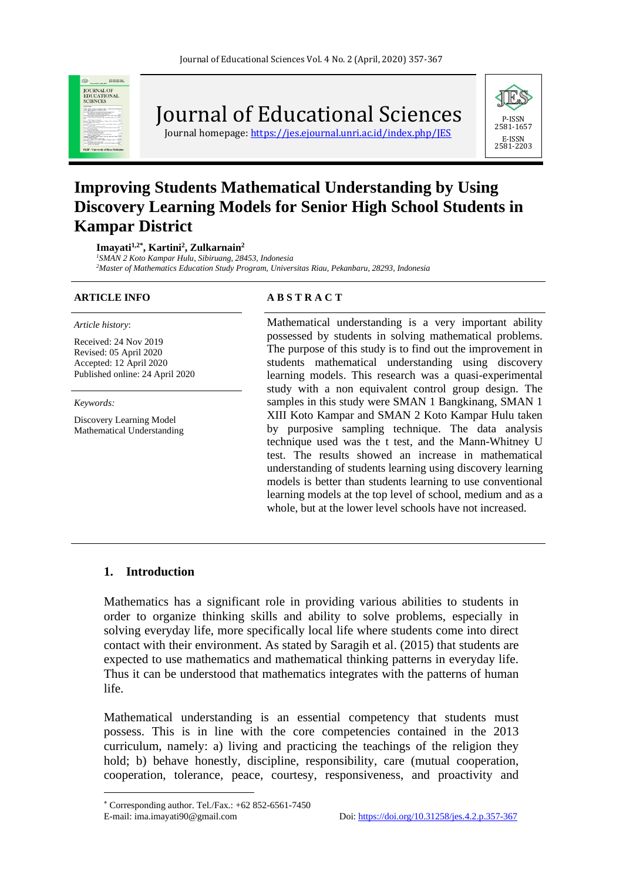

Journal of Educational Sciences

Journal homepage:<https://jes.ejournal.unri.ac.id/index.php/JES>



# **Improving Students Mathematical Understanding by Using Discovery Learning Models for Senior High School Students in Kampar District**

**Imayati1,2\* , Kartini<sup>2</sup> , Zulkarnain<sup>2</sup>**

*<sup>1</sup>SMAN 2 Koto Kampar Hulu, Sibiruang, 28453, Indonesia*

*<sup>2</sup>Master of Mathematics Education Study Program, Universitas Riau, Pekanbaru, 28293, Indonesia*

#### *Article history*:

Received: 24 Nov 2019 Revised: 05 April 2020 Accepted: 12 April 2020 Published online: 24 April 2020

*Keywords:*

Discovery Learning Model Mathematical Understanding

#### **ARTICLE INFO A B S T R A C T**

Mathematical understanding is a very important ability possessed by students in solving mathematical problems. The purpose of this study is to find out the improvement in students mathematical understanding using discovery learning models. This research was a quasi-experimental study with a non equivalent control group design. The samples in this study were SMAN 1 Bangkinang, SMAN 1 XIII Koto Kampar and SMAN 2 Koto Kampar Hulu taken by purposive sampling technique. The data analysis technique used was the t test, and the Mann-Whitney U test. The results showed an increase in mathematical understanding of students learning using discovery learning models is better than students learning to use conventional learning models at the top level of school, medium and as a whole, but at the lower level schools have not increased.

#### **1. Introduction**

Mathematics has a significant role in providing various abilities to students in order to organize thinking skills and ability to solve problems, especially in solving everyday life, more specifically local life where students come into direct contact with their environment. As stated by Saragih et al. (2015) that students are expected to use mathematics and mathematical thinking patterns in everyday life. Thus it can be understood that mathematics integrates with the patterns of human life.

Mathematical understanding is an essential competency that students must possess. This is in line with the core competencies contained in the 2013 curriculum, namely: a) living and practicing the teachings of the religion they hold; b) behave honestly, discipline, responsibility, care (mutual cooperation, cooperation, tolerance, peace, courtesy, responsiveness, and proactivity and

 $*$  Corresponding author. Tel./Fax.: +62 852-6561-7450 E-mail: ima.imayati90@gmail.com Doi[: https://doi.org/10.31258/jes.4.2.p.357-367](https://doi.org/10.31258/jes.4.2.p.357-367)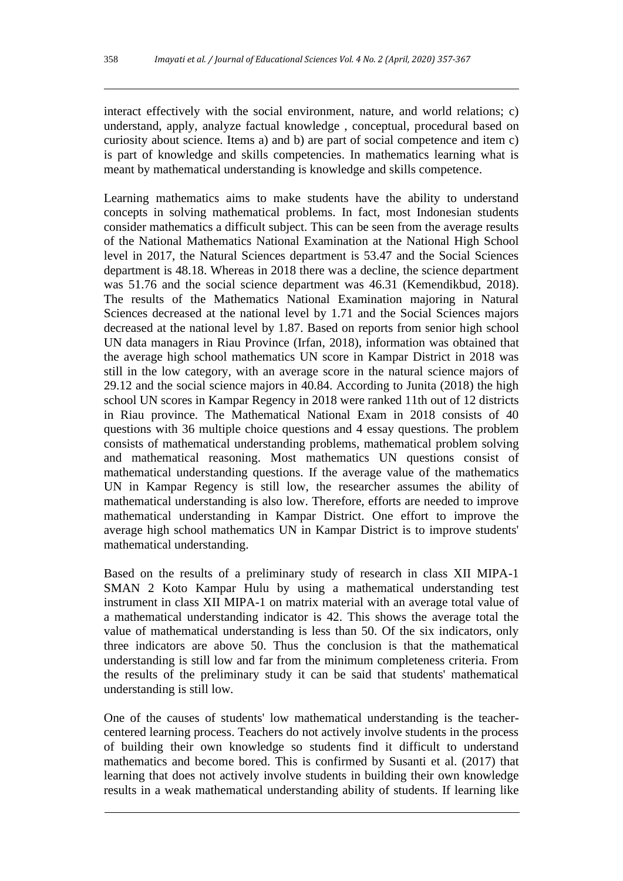interact effectively with the social environment, nature, and world relations; c) understand, apply, analyze factual knowledge , conceptual, procedural based on curiosity about science. Items a) and b) are part of social competence and item c) is part of knowledge and skills competencies. In mathematics learning what is meant by mathematical understanding is knowledge and skills competence.

Learning mathematics aims to make students have the ability to understand concepts in solving mathematical problems. In fact, most Indonesian students consider mathematics a difficult subject. This can be seen from the average results of the National Mathematics National Examination at the National High School level in 2017, the Natural Sciences department is 53.47 and the Social Sciences department is 48.18. Whereas in 2018 there was a decline, the science department was 51.76 and the social science department was 46.31 (Kemendikbud, 2018). The results of the Mathematics National Examination majoring in Natural Sciences decreased at the national level by 1.71 and the Social Sciences majors decreased at the national level by 1.87. Based on reports from senior high school UN data managers in Riau Province (Irfan, 2018), information was obtained that the average high school mathematics UN score in Kampar District in 2018 was still in the low category, with an average score in the natural science majors of 29.12 and the social science majors in 40.84. According to Junita (2018) the high school UN scores in Kampar Regency in 2018 were ranked 11th out of 12 districts in Riau province. The Mathematical National Exam in 2018 consists of 40 questions with 36 multiple choice questions and 4 essay questions. The problem consists of mathematical understanding problems, mathematical problem solving and mathematical reasoning. Most mathematics UN questions consist of mathematical understanding questions. If the average value of the mathematics UN in Kampar Regency is still low, the researcher assumes the ability of mathematical understanding is also low. Therefore, efforts are needed to improve mathematical understanding in Kampar District. One effort to improve the average high school mathematics UN in Kampar District is to improve students' mathematical understanding.

Based on the results of a preliminary study of research in class XII MIPA-1 SMAN 2 Koto Kampar Hulu by using a mathematical understanding test instrument in class XII MIPA-1 on matrix material with an average total value of a mathematical understanding indicator is 42. This shows the average total the value of mathematical understanding is less than 50. Of the six indicators, only three indicators are above 50. Thus the conclusion is that the mathematical understanding is still low and far from the minimum completeness criteria. From the results of the preliminary study it can be said that students' mathematical understanding is still low.

One of the causes of students' low mathematical understanding is the teachercentered learning process. Teachers do not actively involve students in the process of building their own knowledge so students find it difficult to understand mathematics and become bored. This is confirmed by Susanti et al. (2017) that learning that does not actively involve students in building their own knowledge results in a weak mathematical understanding ability of students. If learning like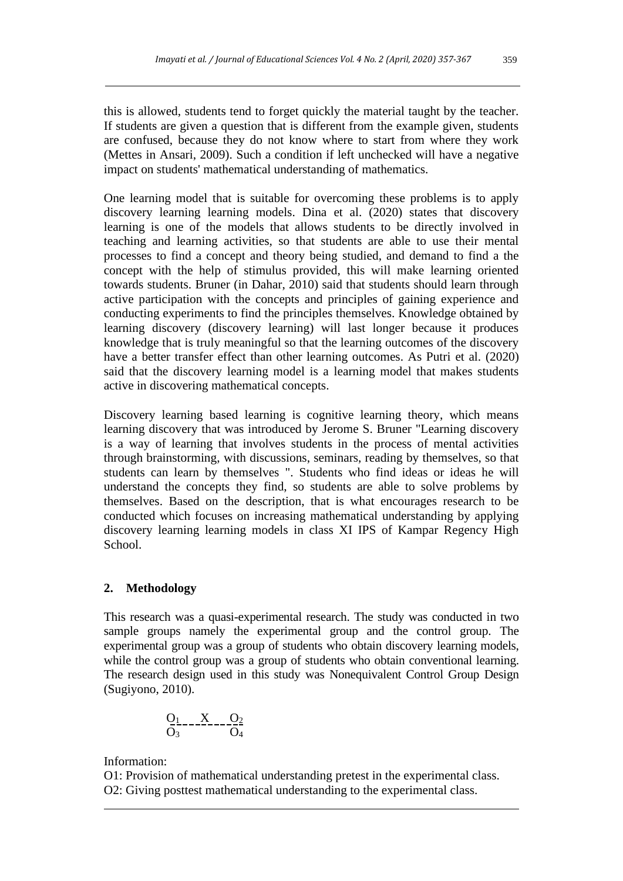this is allowed, students tend to forget quickly the material taught by the teacher. If students are given a question that is different from the example given, students are confused, because they do not know where to start from where they work (Mettes in Ansari, 2009). Such a condition if left unchecked will have a negative impact on students' mathematical understanding of mathematics.

One learning model that is suitable for overcoming these problems is to apply discovery learning learning models. Dina et al. (2020) states that discovery learning is one of the models that allows students to be directly involved in teaching and learning activities, so that students are able to use their mental processes to find a concept and theory being studied, and demand to find a the concept with the help of stimulus provided, this will make learning oriented towards students. Bruner (in Dahar, 2010) said that students should learn through active participation with the concepts and principles of gaining experience and conducting experiments to find the principles themselves. Knowledge obtained by learning discovery (discovery learning) will last longer because it produces knowledge that is truly meaningful so that the learning outcomes of the discovery have a better transfer effect than other learning outcomes. As Putri et al. (2020) said that the discovery learning model is a learning model that makes students active in discovering mathematical concepts.

Discovery learning based learning is cognitive learning theory, which means learning discovery that was introduced by Jerome S. Bruner "Learning discovery is a way of learning that involves students in the process of mental activities through brainstorming, with discussions, seminars, reading by themselves, so that students can learn by themselves ". Students who find ideas or ideas he will understand the concepts they find, so students are able to solve problems by themselves. Based on the description, that is what encourages research to be conducted which focuses on increasing mathematical understanding by applying discovery learning learning models in class XI IPS of Kampar Regency High School.

### **2. Methodology**

This research was a quasi-experimental research. The study was conducted in two sample groups namely the experimental group and the control group. The experimental group was a group of students who obtain discovery learning models, while the control group was a group of students who obtain conventional learning. The research design used in this study was Nonequivalent Control Group Design (Sugiyono, 2010).

$$
\underset{O_3}{\underbrace{O_1}\text{---}}\underset{O_4}{\underbrace{X}\text{---}}\underset{O_4}{\underbrace{O_2}}
$$

Information:

O1: Provision of mathematical understanding pretest in the experimental class. O2: Giving posttest mathematical understanding to the experimental class.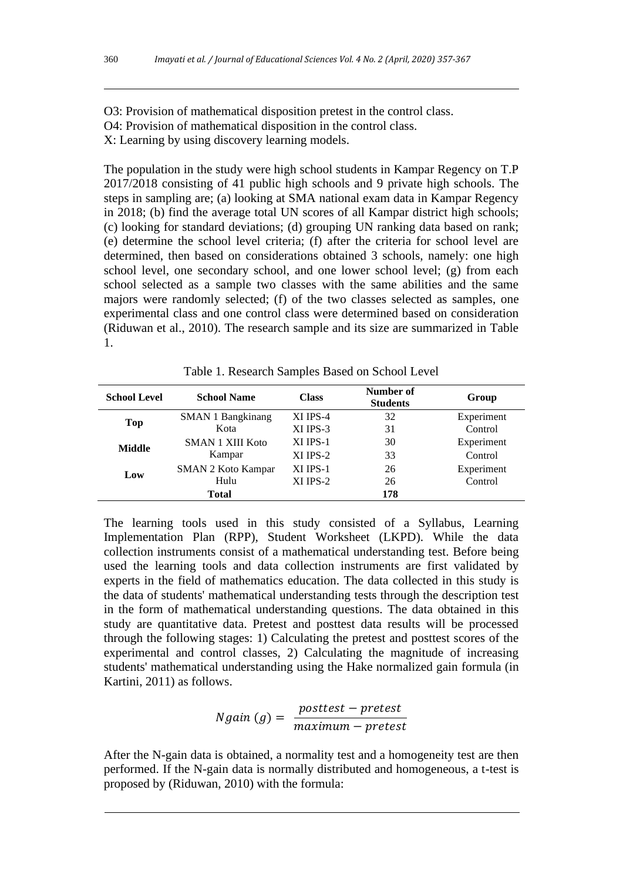O3: Provision of mathematical disposition pretest in the control class. O4: Provision of mathematical disposition in the control class. X: Learning by using discovery learning models.

The population in the study were high school students in Kampar Regency on T.P 2017/2018 consisting of 41 public high schools and 9 private high schools. The steps in sampling are; (a) looking at SMA national exam data in Kampar Regency in 2018; (b) find the average total UN scores of all Kampar district high schools; (c) looking for standard deviations; (d) grouping UN ranking data based on rank; (e) determine the school level criteria; (f) after the criteria for school level are determined, then based on considerations obtained 3 schools, namely: one high school level, one secondary school, and one lower school level; (g) from each school selected as a sample two classes with the same abilities and the same majors were randomly selected; (f) of the two classes selected as samples, one experimental class and one control class were determined based on consideration (Riduwan et al., 2010). The research sample and its size are summarized in Table 1.

| <b>School Level</b> | <b>School Name</b>        | Number of<br><b>Class</b><br><b>Students</b> |     | Group      |
|---------------------|---------------------------|----------------------------------------------|-----|------------|
| Top                 | <b>SMAN 1 Bangkinang</b>  | XI IPS-4                                     | 32  | Experiment |
|                     | Kota                      | XI IPS-3                                     | 31  | Control    |
| Middle              | <b>SMAN 1 XIII Koto</b>   | XI IPS-1                                     | 30  | Experiment |
|                     | Kampar                    | XI IPS-2                                     | 33  | Control    |
| Low                 | <b>SMAN 2 Koto Kampar</b> | XI IPS-1                                     | 26  | Experiment |
|                     | Hulu                      | XI IPS-2                                     | 26  | Control    |
|                     | <b>Total</b>              |                                              | 178 |            |

Table 1. Research Samples Based on School Level

The learning tools used in this study consisted of a Syllabus, Learning Implementation Plan (RPP), Student Worksheet (LKPD). While the data collection instruments consist of a mathematical understanding test. Before being used the learning tools and data collection instruments are first validated by experts in the field of mathematics education. The data collected in this study is the data of students' mathematical understanding tests through the description test in the form of mathematical understanding questions. The data obtained in this study are quantitative data. Pretest and posttest data results will be processed through the following stages: 1) Calculating the pretest and posttest scores of the experimental and control classes, 2) Calculating the magnitude of increasing students' mathematical understanding using the Hake normalized gain formula (in Kartini, 2011) as follows.

*Ngain* 
$$
(g) = \frac{posttest - pretest}{maximum - pretest}
$$

After the N-gain data is obtained, a normality test and a homogeneity test are then performed. If the N-gain data is normally distributed and homogeneous, a t-test is proposed by (Riduwan, 2010) with the formula: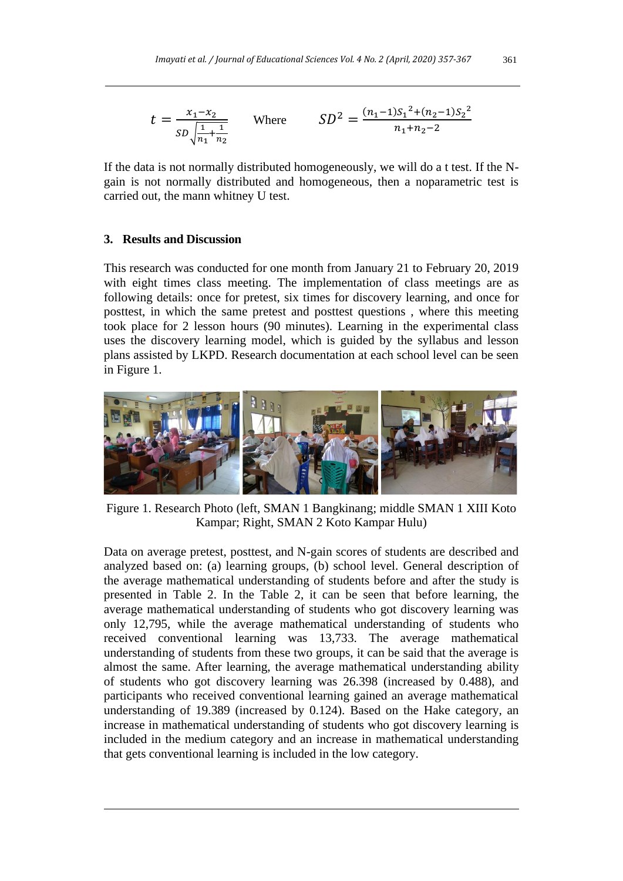$$
t = \frac{x_1 - x_2}{SD\sqrt{\frac{1}{n_1} + \frac{1}{n_2}}} \quad \text{Where} \quad SD^2 = \frac{(n_1 - 1)S_1^2 + (n_2 - 1)S_2^2}{n_1 + n_2 - 2}
$$

If the data is not normally distributed homogeneously, we will do a t test. If the Ngain is not normally distributed and homogeneous, then a noparametric test is carried out, the mann whitney U test.

### **3. Results and Discussion**

This research was conducted for one month from January 21 to February 20, 2019 with eight times class meeting. The implementation of class meetings are as following details: once for pretest, six times for discovery learning, and once for posttest, in which the same pretest and posttest questions , where this meeting took place for 2 lesson hours (90 minutes). Learning in the experimental class uses the discovery learning model, which is guided by the syllabus and lesson plans assisted by LKPD. Research documentation at each school level can be seen in Figure 1.



Figure 1. Research Photo (left, SMAN 1 Bangkinang; middle SMAN 1 XIII Koto Kampar; Right, SMAN 2 Koto Kampar Hulu)

Data on average pretest, posttest, and N-gain scores of students are described and analyzed based on: (a) learning groups, (b) school level. General description of the average mathematical understanding of students before and after the study is presented in Table 2. In the Table 2, it can be seen that before learning, the average mathematical understanding of students who got discovery learning was only 12,795, while the average mathematical understanding of students who received conventional learning was 13,733. The average mathematical understanding of students from these two groups, it can be said that the average is almost the same. After learning, the average mathematical understanding ability of students who got discovery learning was 26.398 (increased by 0.488), and participants who received conventional learning gained an average mathematical understanding of 19.389 (increased by 0.124). Based on the Hake category, an increase in mathematical understanding of students who got discovery learning is included in the medium category and an increase in mathematical understanding that gets conventional learning is included in the low category.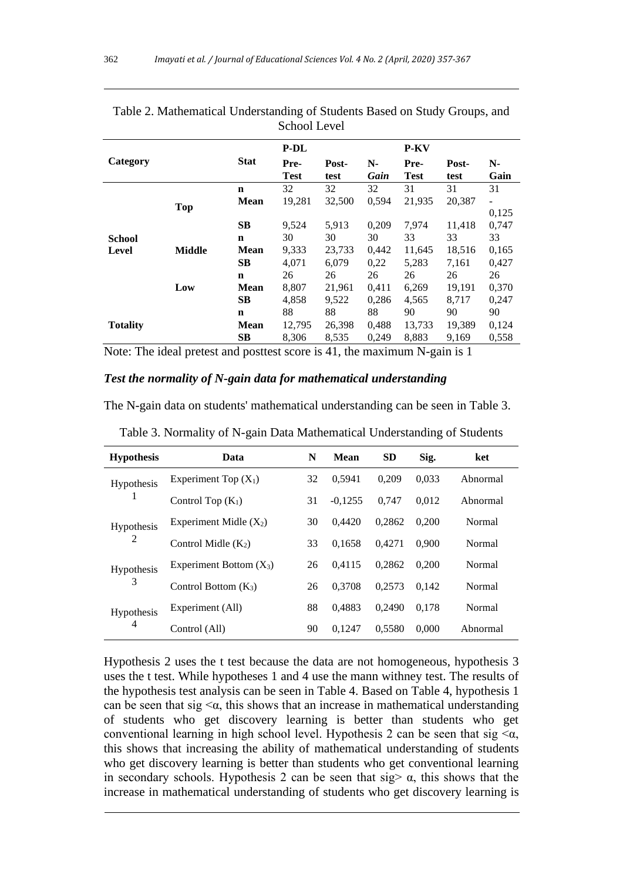| DUIJUL LUVU            |               |             |             |        |       |             |        |                          |
|------------------------|---------------|-------------|-------------|--------|-------|-------------|--------|--------------------------|
|                        |               |             | <b>P-DL</b> |        |       | P-KV        |        |                          |
| Category               |               | <b>Stat</b> | Pre-        | Post-  | $N-$  | Pre-        | Post-  | N-                       |
|                        |               |             | <b>Test</b> | test   | Gain  | <b>Test</b> | test   | Gain                     |
|                        |               | $\mathbf n$ | 32          | 32     | 32    | 31          | 31     | 31                       |
|                        |               | <b>Mean</b> | 19,281      | 32,500 | 0,594 | 21,935      | 20,387 | $\overline{\phantom{0}}$ |
| <b>School</b><br>Level | <b>Top</b>    |             |             |        |       |             |        | 0,125                    |
|                        |               | SB          | 9,524       | 5,913  | 0,209 | 7,974       | 11,418 | 0,747                    |
|                        | <b>Middle</b> | $\mathbf n$ | 30          | 30     | 30    | 33          | 33     | 33                       |
|                        |               | <b>Mean</b> | 9,333       | 23,733 | 0,442 | 11,645      | 18,516 | 0,165                    |
|                        |               | <b>SB</b>   | 4,071       | 6,079  | 0,22  | 5,283       | 7,161  | 0,427                    |
|                        |               | $\mathbf n$ | 26          | 26     | 26    | 26          | 26     | 26                       |
|                        | Low           | <b>Mean</b> | 8,807       | 21,961 | 0,411 | 6,269       | 19,191 | 0,370                    |
|                        |               | <b>SB</b>   | 4,858       | 9,522  | 0,286 | 4,565       | 8,717  | 0,247                    |
|                        |               | $\mathbf n$ | 88          | 88     | 88    | 90          | 90     | 90                       |
| <b>Totality</b>        |               | <b>Mean</b> | 12,795      | 26,398 | 0,488 | 13,733      | 19,389 | 0,124                    |
|                        |               | SВ          | 8,306       | 8,535  | 0,249 | 8,883       | 9,169  | 0,558                    |

Table 2. Mathematical Understanding of Students Based on Study Groups, and School Level

Note: The ideal pretest and posttest score is 41, the maximum N-gain is 1

#### *Test the normality of N-gain data for mathematical understanding*

The N-gain data on students' mathematical understanding can be seen in Table 3.

| <b>Hypothesis</b>                   | Data                      | N  | Mean      | <b>SD</b> | Sig.  | ket      |
|-------------------------------------|---------------------------|----|-----------|-----------|-------|----------|
| Hypothesis<br>1                     | Experiment Top $(X_1)$    | 32 | 0.5941    | 0.209     | 0.033 | Abnormal |
|                                     | Control Top $(K_1)$       | 31 | $-0,1255$ | 0.747     | 0.012 | Abnormal |
| <b>Hypothesis</b><br>2              | Experiment Midle $(X_2)$  | 30 | 0.4420    | 0.2862    | 0.200 | Normal   |
|                                     | Control Midle $(K_2)$     | 33 | 0.1658    | 0.4271    | 0.900 | Normal   |
| Hypothesis<br>3                     | Experiment Bottom $(X_3)$ | 26 | 0.4115    | 0.2862    | 0.200 | Normal   |
|                                     | Control Bottom $(K_3)$    | 26 | 0.3708    | 0.2573    | 0.142 | Normal   |
| <b>Hypothesis</b><br>$\overline{4}$ | Experiment (All)          | 88 | 0.4883    | 0.2490    | 0.178 | Normal   |
|                                     | Control (All)             | 90 | 0.1247    | 0.5580    | 0.000 | Abnormal |

Table 3. Normality of N-gain Data Mathematical Understanding of Students

Hypothesis 2 uses the t test because the data are not homogeneous, hypothesis 3 uses the t test. While hypotheses 1 and 4 use the mann withney test. The results of the hypothesis test analysis can be seen in Table 4. Based on Table 4, hypothesis 1 can be seen that sig  $\langle \alpha$ , this shows that an increase in mathematical understanding of students who get discovery learning is better than students who get conventional learning in high school level. Hypothesis 2 can be seen that sig  $\alpha$ , this shows that increasing the ability of mathematical understanding of students who get discovery learning is better than students who get conventional learning in secondary schools. Hypothesis 2 can be seen that sig>  $\alpha$ , this shows that the increase in mathematical understanding of students who get discovery learning is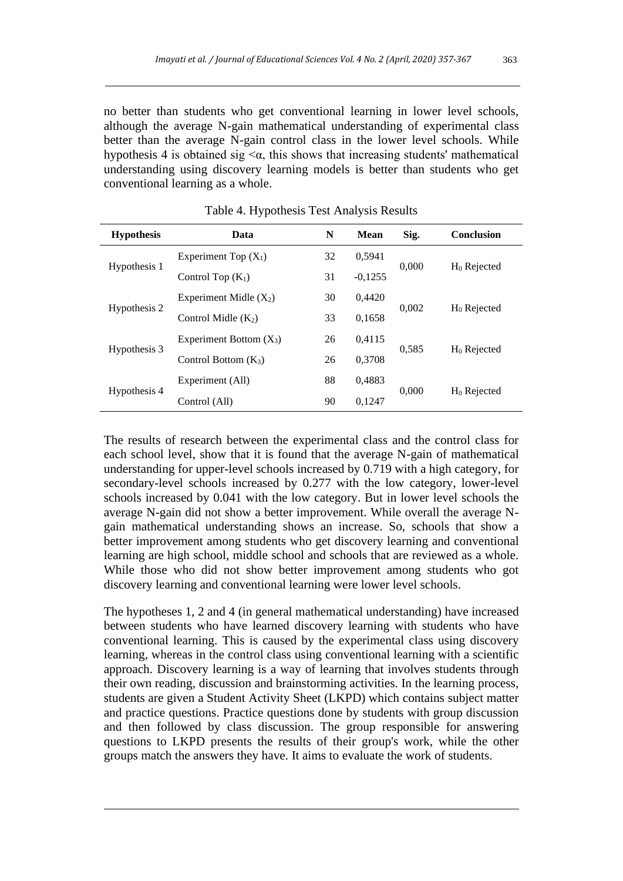no better than students who get conventional learning in lower level schools, although the average N-gain mathematical understanding of experimental class better than the average N-gain control class in the lower level schools. While hypothesis 4 is obtained sig  $\langle \alpha$ , this shows that increasing students' mathematical understanding using discovery learning models is better than students who get conventional learning as a whole.

| <b>Hypothesis</b> | Data                      | N  | Mean      | Sig.  | <b>Conclusion</b> |  |
|-------------------|---------------------------|----|-----------|-------|-------------------|--|
| Hypothesis 1      | Experiment Top $(X_1)$    | 32 | 0.5941    | 0.000 | $H_0$ Rejected    |  |
|                   | Control Top $(K_1)$       | 31 | $-0,1255$ |       |                   |  |
| Hypothesis 2      | Experiment Midle $(X_2)$  | 30 | 0.4420    |       | $H_0$ Rejected    |  |
|                   | Control Midle $(K_2)$     | 33 | 0.1658    | 0.002 |                   |  |
| Hypothesis 3      | Experiment Bottom $(X_3)$ | 26 | 0,4115    |       | $H_0$ Rejected    |  |
|                   | Control Bottom $(K_3)$    | 26 | 0.3708    | 0.585 |                   |  |
| Hypothesis 4      | Experiment (All)          | 88 | 0.4883    |       | $H_0$ Rejected    |  |
|                   | Control (All)             | 90 | 0.1247    | 0.000 |                   |  |

Table 4. Hypothesis Test Analysis Results

The results of research between the experimental class and the control class for each school level, show that it is found that the average N-gain of mathematical understanding for upper-level schools increased by 0.719 with a high category, for secondary-level schools increased by 0.277 with the low category, lower-level schools increased by 0.041 with the low category. But in lower level schools the average N-gain did not show a better improvement. While overall the average Ngain mathematical understanding shows an increase. So, schools that show a better improvement among students who get discovery learning and conventional learning are high school, middle school and schools that are reviewed as a whole. While those who did not show better improvement among students who got discovery learning and conventional learning were lower level schools.

The hypotheses 1, 2 and 4 (in general mathematical understanding) have increased between students who have learned discovery learning with students who have conventional learning. This is caused by the experimental class using discovery learning, whereas in the control class using conventional learning with a scientific approach. Discovery learning is a way of learning that involves students through their own reading, discussion and brainstorming activities. In the learning process, students are given a Student Activity Sheet (LKPD) which contains subject matter and practice questions. Practice questions done by students with group discussion and then followed by class discussion. The group responsible for answering questions to LKPD presents the results of their group's work, while the other groups match the answers they have. It aims to evaluate the work of students.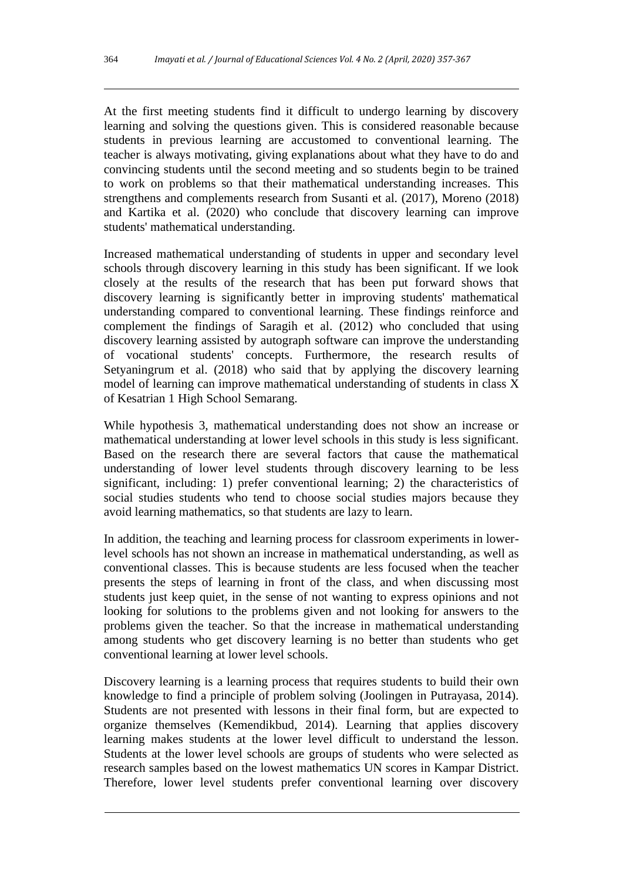At the first meeting students find it difficult to undergo learning by discovery learning and solving the questions given. This is considered reasonable because students in previous learning are accustomed to conventional learning. The teacher is always motivating, giving explanations about what they have to do and convincing students until the second meeting and so students begin to be trained to work on problems so that their mathematical understanding increases. This strengthens and complements research from Susanti et al. (2017), Moreno (2018) and Kartika et al. (2020) who conclude that discovery learning can improve students' mathematical understanding.

Increased mathematical understanding of students in upper and secondary level schools through discovery learning in this study has been significant. If we look closely at the results of the research that has been put forward shows that discovery learning is significantly better in improving students' mathematical understanding compared to conventional learning. These findings reinforce and complement the findings of Saragih et al. (2012) who concluded that using discovery learning assisted by autograph software can improve the understanding of vocational students' concepts. Furthermore, the research results of Setyaningrum et al. (2018) who said that by applying the discovery learning model of learning can improve mathematical understanding of students in class X of Kesatrian 1 High School Semarang.

While hypothesis 3, mathematical understanding does not show an increase or mathematical understanding at lower level schools in this study is less significant. Based on the research there are several factors that cause the mathematical understanding of lower level students through discovery learning to be less significant, including: 1) prefer conventional learning; 2) the characteristics of social studies students who tend to choose social studies majors because they avoid learning mathematics, so that students are lazy to learn.

In addition, the teaching and learning process for classroom experiments in lowerlevel schools has not shown an increase in mathematical understanding, as well as conventional classes. This is because students are less focused when the teacher presents the steps of learning in front of the class, and when discussing most students just keep quiet, in the sense of not wanting to express opinions and not looking for solutions to the problems given and not looking for answers to the problems given the teacher. So that the increase in mathematical understanding among students who get discovery learning is no better than students who get conventional learning at lower level schools.

Discovery learning is a learning process that requires students to build their own knowledge to find a principle of problem solving (Joolingen in Putrayasa, 2014). Students are not presented with lessons in their final form, but are expected to organize themselves (Kemendikbud, 2014). Learning that applies discovery learning makes students at the lower level difficult to understand the lesson. Students at the lower level schools are groups of students who were selected as research samples based on the lowest mathematics UN scores in Kampar District. Therefore, lower level students prefer conventional learning over discovery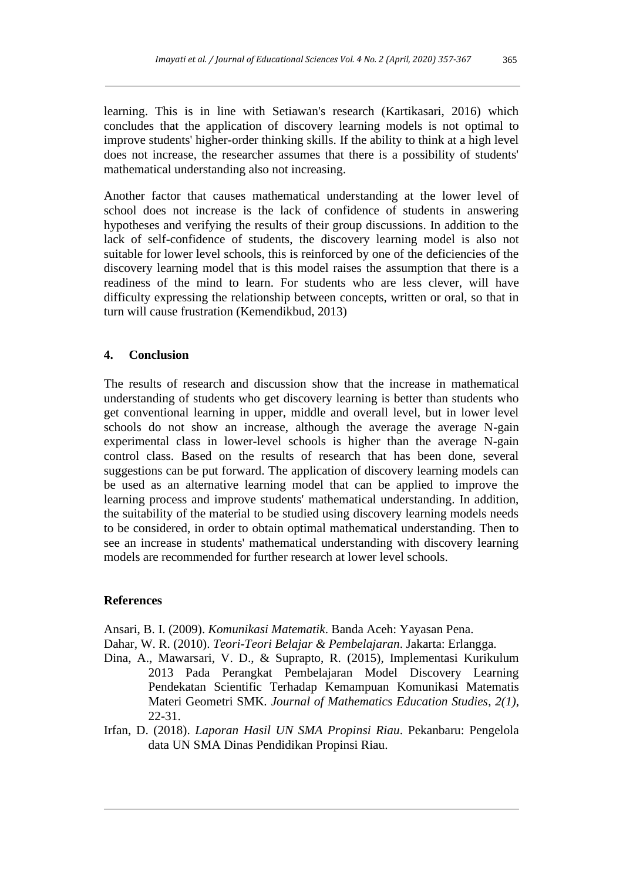learning. This is in line with Setiawan's research (Kartikasari, 2016) which concludes that the application of discovery learning models is not optimal to improve students' higher-order thinking skills. If the ability to think at a high level does not increase, the researcher assumes that there is a possibility of students' mathematical understanding also not increasing.

Another factor that causes mathematical understanding at the lower level of school does not increase is the lack of confidence of students in answering hypotheses and verifying the results of their group discussions. In addition to the lack of self-confidence of students, the discovery learning model is also not suitable for lower level schools, this is reinforced by one of the deficiencies of the discovery learning model that is this model raises the assumption that there is a readiness of the mind to learn. For students who are less clever, will have difficulty expressing the relationship between concepts, written or oral, so that in turn will cause frustration (Kemendikbud, 2013)

## **4. Conclusion**

The results of research and discussion show that the increase in mathematical understanding of students who get discovery learning is better than students who get conventional learning in upper, middle and overall level, but in lower level schools do not show an increase, although the average the average N-gain experimental class in lower-level schools is higher than the average N-gain control class. Based on the results of research that has been done, several suggestions can be put forward. The application of discovery learning models can be used as an alternative learning model that can be applied to improve the learning process and improve students' mathematical understanding. In addition, the suitability of the material to be studied using discovery learning models needs to be considered, in order to obtain optimal mathematical understanding. Then to see an increase in students' mathematical understanding with discovery learning models are recommended for further research at lower level schools.

### **References**

Ansari, B. I. (2009). *Komunikasi Matematik*. Banda Aceh: Yayasan Pena.

Dahar, W. R. (2010). *Teori-Teori Belajar & Pembelajaran*. Jakarta: Erlangga.

- Dina, A., Mawarsari, V. D., & Suprapto, R*.* (2015), Implementasi Kurikulum 2013 Pada Perangkat Pembelajaran Model Discovery Learning Pendekatan Scientific Terhadap Kemampuan Komunikasi Matematis Materi Geometri SMK*. Journal of Mathematics Education Studies*, *2(1),*  22-31.
- Irfan, D. (2018). *Laporan Hasil UN SMA Propinsi Riau*. Pekanbaru: Pengelola data UN SMA Dinas Pendidikan Propinsi Riau.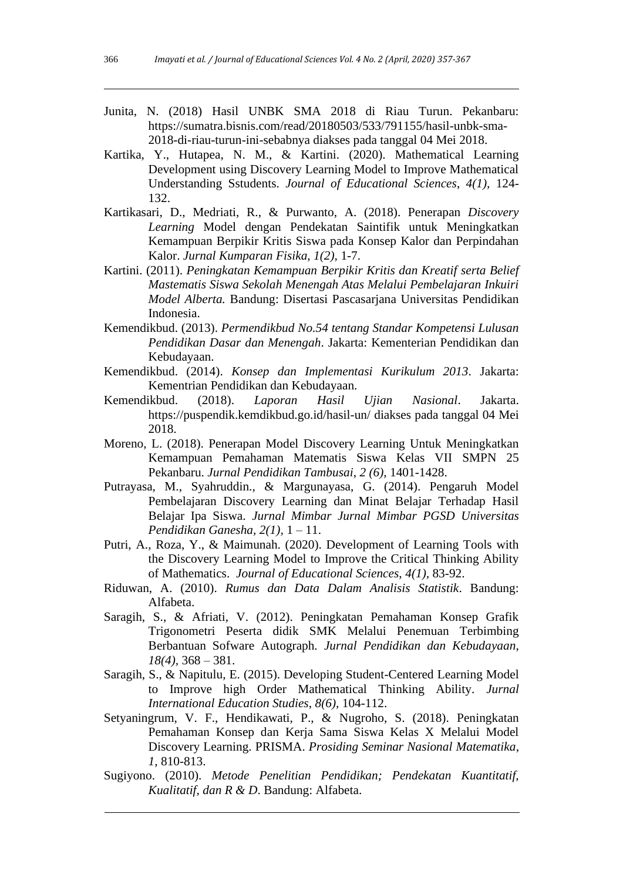- Junita, N. (2018) Hasil UNBK SMA 2018 di Riau Turun. Pekanbaru: [https://sumatra.bisnis.com/read/20180503/533/791155/hasil-unbk-sma-](https://sumatra.bisnis.com/read/20180503/533/791155/hasil-unbk-sma-2018-di-riau-turun-ini-sebabnya)[2018-di-riau-turun-ini-sebabnya](https://sumatra.bisnis.com/read/20180503/533/791155/hasil-unbk-sma-2018-di-riau-turun-ini-sebabnya) diakses pada tanggal 04 Mei 2018.
- Kartika, Y., Hutapea, N. M., & Kartini. (2020). Mathematical Learning Development using Discovery Learning Model to Improve Mathematical Understanding Sstudents. *Journal of Educational Sciences*, *4(1),* 124- 132.
- Kartikasari, D., Medriati, R., & Purwanto, A. (2018). Penerapan *Discovery Learning* Model dengan Pendekatan Saintifik untuk Meningkatkan Kemampuan Berpikir Kritis Siswa pada Konsep Kalor dan Perpindahan Kalor. *Jurnal Kumparan Fisika, 1(2),* 1-7.
- Kartini. (2011). *Peningkatan Kemampuan Berpikir Kritis dan Kreatif serta Belief Mastematis Siswa Sekolah Menengah Atas Melalui Pembelajaran Inkuiri Model Alberta.* Bandung: Disertasi Pascasarjana Universitas Pendidikan Indonesia.
- Kemendikbud. (2013). *Permendikbud No.54 tentang Standar Kompetensi Lulusan Pendidikan Dasar dan Menengah*. Jakarta: Kementerian Pendidikan dan Kebudayaan.
- Kemendikbud. (2014). *Konsep dan Implementasi Kurikulum 2013*. Jakarta: Kementrian Pendidikan dan Kebudayaan.
- Kemendikbud. (2018). *Laporan Hasil Ujian Nasional*. Jakarta. <https://puspendik.kemdikbud.go.id/hasil-un/> diakses pada tanggal 04 Mei 2018.
- Moreno, L. (2018). Penerapan Model Discovery Learning Untuk Meningkatkan Kemampuan Pemahaman Matematis Siswa Kelas VII SMPN 25 Pekanbaru. *Jurnal Pendidikan Tambusai*, *2 (6)*, 1401-1428.
- Putrayasa, M., Syahruddin., & Margunayasa, G. (2014). Pengaruh Model Pembelajaran Discovery Learning dan Minat Belajar Terhadap Hasil Belajar Ipa Siswa. *Jurnal Mimbar Jurnal Mimbar PGSD Universitas Pendidikan Ganesha, 2(1),* 1 – 11.
- Putri, A., Roza, Y., & Maimunah. (2020). Development of Learning Tools with the Discovery Learning Model to Improve the Critical Thinking Ability of Mathematics. *Journal of Educational Sciences*, *4(1),* 83-92.
- Riduwan, A. (2010). *Rumus dan Data Dalam Analisis Statistik*. Bandung: Alfabeta.
- Saragih, S., & Afriati, V. (2012). Peningkatan Pemahaman Konsep Grafik Trigonometri Peserta didik SMK Melalui Penemuan Terbimbing Berbantuan Sofware Autograph*. Jurnal Pendidikan dan Kebudayaan*, *18(4),* 368 – 381.
- Saragih, S., & Napitulu, E. (2015). Developing Student-Centered Learning Model to Improve high Order Mathematical Thinking Ability. *Jurnal International Education Studies*, *8(6),* 104-112.
- Setyaningrum, V. F., Hendikawati, P., & Nugroho, S. (2018). Peningkatan Pemahaman Konsep dan Kerja Sama Siswa Kelas X Melalui Model Discovery Learning. PRISMA. *Prosiding Seminar Nasional Matematika*, *1*, 810-813.
- Sugiyono. (2010). *Metode Penelitian Pendidikan; Pendekatan Kuantitatif, Kualitatif, dan R & D*. Bandung: Alfabeta.